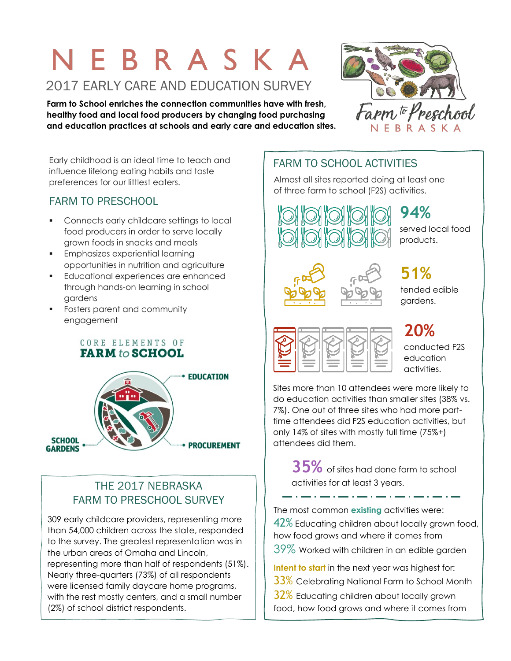# NEBRASKA 2017 EARLY CARE AND EDUCATION SURVEY

**Farm to School enriches the connection communities have with fresh, healthy food and local food producers by changing food purchasing and education practices at schools and early care and education sites.** 



Early childhood is an ideal time to teach and influence lifelong eating habits and taste preferences for our littlest eaters.

#### FARM TO PRESCHOOL

- **Connects early childcare settings to local** food producers in order to serve locally grown foods in snacks and meals
- **Emphasizes experiential learning** opportunities in nutrition and agriculture
- **Educational experiences are enhanced** through hands-on learning in school gardens
- **Fosters parent and community** engagement

CORE ELEMENTS OF **FARM** to SCHOOL



#### THE 2017 NEBRASKA FARM TO PRESCHOOL SURVEY

309 early childcare providers, representing more than 54,000 children across the state, responded to the survey. The greatest representation was in the urban areas of Omaha and Lincoln, representing more than half of respondents (51%). Nearly three-quarters (73%) of all respondents were licensed family daycare home programs, with the rest mostly centers, and a small number (2%) of school district respondents.

### FARM TO SCHOOL ACTIVITIES

Almost all sites reported doing at least one of three farm to school (F2S) activities.



**94%** served local food products.



## **51%**

tended edible gardens.



**20%**

conducted F2S education activities.

Sites more than 10 attendees were more likely to do education activities than smaller sites (38% vs. 7%). One out of three sites who had more parttime attendees did F2S education activities, but only 14% of sites with mostly full time (75%+) attendees did them.

**35%** of sites had done farm to school activities for at least 3 years.

The most common **existing** activities were: 42% Educating children about locally grown food, how food grows and where it comes from 39% Worked with children in an edible garden

**Intent to start** in the next year was highest for:

- $33\%$  Celebrating National Farm to School Month
- 32% Educating children about locally grown
- food, how food grows and where it comes from